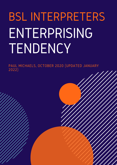# BSL INTERPRETERS ENTERPRISING TENDENCY

PAUL MICHAELS, OCTOBER 2020 (UPDATED JANUARY 2022)

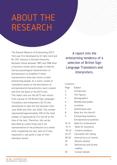### ABOUT THE RESEARCH

The General Measure of Enterprising (GET) Test was first developed by Dr Sally Caird and Mr Cliff Johnson at Durham University Business School between 1987 and 1988 after a literature review which sought to identify the key psychological characteristics of entrepreneurs to establish if these characteristics were also found in other enterprising people. As a result, a bank of statements based on the descriptions of entrepreneurial characteristics were created and form the basis of the GET2 test. This report sets out the GET2 test results from a group of 140 British Sign Languages Translators and Interpreters (SLTI) who volunteered to take the test between 24th June 2020 and 24th July 2020. This number represented approximately 10% of the total number of registered SLTI in the UK at the time of the test. Therefore, this can be described as a pilot study and is not representative of the profession as a whole. After completing the test, each SLTI who requested it, was given a copy of their individual results.

A report into the enterprising tendency of a selection of British Sign Language Translators and Interpreters.

#### Contents:

| Page      | Subject                    |
|-----------|----------------------------|
| 2         | Introduction               |
| 3         | The Figures                |
| 4         | Demographics               |
| 5         | Membership bodies          |
| 6         | Locations                  |
| 7         | Qualification year         |
| 8         | What Are You Worth?        |
| 9         | Enterprising tendency      |
|           | Entrepreneurial qualities: |
| $10 - 14$ | Need for achievement       |
| $15 - 17$ | Need for autonomy          |
| $18 - 22$ | Creative tendency          |
| $23 - 27$ | Calculated risk-taking     |
| $28 - 32$ | Internal locus of control  |
| 33        | Results wanted             |
| 34        | References and further     |

- reading
- 35 Contact details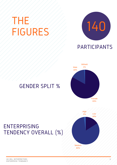## THE FIGURES



#### PARTICIPANTS



#### GENDER SPLIT %

#### ENTERPRISING TENDENCY OVERALL (%)

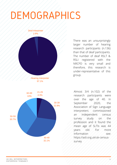## DEMOGRAPHICS



There was an unsurprisingly larger number of hearing research participants (n.136) than that of deaf participants. The number of deaf RSLT & RSLI registered with the NRCPD is very small and therefore, this research is under-representative of this group.



Almost 3/4 (n.102) of the research participants were over the age of 40. In September 2020, the Association of Sign Language interpreters commissioned an independent census survey study on the profession and it found the mean age of SLTIs was 44 years old. For more  $information$  see: https://asli.org.uk/uk-censussurvey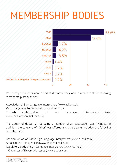## MEMBERSHIP BODIES



Research participants were asked to declare if they were a member of the following membership associations:

Association of Sign Language Interpreters (www.asli.org.uk) Visual Language Professionals (www.vlp.org.uk) Scottish Collaborative of Sign Language Interpreters (see: www.thescottishregister.co.uk)

The option of declaring not being a member of an association was included. In addition, the category of 'Other' was offered and participants included the following organisations:

National Union of British Sign Language Interpreters (www.nubsli.com) Association of Lipspeakers (www.lipspeaking.co.uk) Regulatory Body of Sign Language Interpreters (www.rbsli.org) UK Register of Expert Witnesses (www.jspubs.com)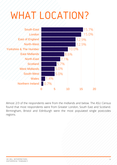## WHAT LOCATION?



Almost 2/3 of the respondents were from the midlands and below. The ASLI Census found that most respondents were from Greater London, South East and Scotland. Birmingham, Bristol and Edinburgh were the most populated single postcodes regions.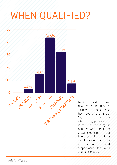## WHEN QUALIFIED?



Most respondents have qualified in the past 20 years which is reflective of how young the British Sign / / / Language interpreting profession is in the UK. The surge in numbers was to meet the growing demand for BSL Interpreters in the UK as supply was said not to be meeting such demand. (Department for Work and Pensions, 2017)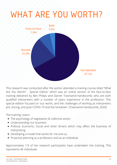### WHAT ARE YOU WORTH?



This research was conducted after the author attended a training course titled "What Are You Worth? - Special Edition' which was an online version of the face-to-face training delivered by Ben Philips and Darren Townsend-Handscomb, who are both qualified interpreters with a number of years experience in the profession. This special edition focused on 'our worth, and the challenges of working as interpreters pre, during, and post COVID-19 and the lockdown.' (Townsend-Handscomb, 2020)

The training covers:

- The psychology of negotiation & collective action.
- Understanding 'our business'.
- Political, Economic, Social and other drivers which may affect the business of interpreting.
- Developing a model that works for me and us.
- Proactive planning as a profession and as an individual

Approximately 1/3 of the research participants have undertaken the training. This represents 46 individuals.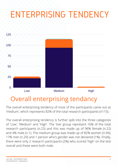### ENTERPRISING TENDENCY



#### Overall enterprising tendancy

The overall enterprising tendency of most of the participants came out as 'medium', which represents 82% of the total research participants (n115).

The overall enterprising tendency is further split into the three categories of 'Low', 'Medium' and 'High'. The 'low' group represent 16% of the total research participants (n.23) and this was made up of 96% female (n.22) and 4% male (n.1). The medium group was made up of 82% women (n.94), 17% men (n.20) and 1 person who's gender was not declared (1%). Finally, there were only 2 research participants (2%) who scored 'high' on the test overall and these were both male.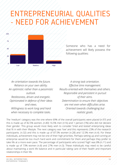

Someone who has a need for achievement will likely possess the following qualities:

*An orientation towards the future. Reliance on your own ability. An optimistic rather than a pessimistic outlook. Restlessness, driven and energetic. Opinionated in defence of their ideas and views. Willingness to work long and hard when necessary to complete tasks.*

*A strong task orientation. Effective time management. Results-oriented with themselves and others. Responsible and persistent in pursuit of their aims. Determination to ensure their objectives are met even when difficulties arise. Oriented towards challenging but realistic goals.*

The 'medium' category was the one where 69% of the overall participants were placed (n.97) and this is made up of 82.5% women, (n.80) 16.5% men (n16) and 1 person (1%) who did not declare their gender. This group would most likely wish to consider 'tried and tested' enterprising ideas that fit in with their lifestyle. The next category was 'low' and this represents 23% of the research participants. (n.32) and this is made up of 87.5% women (n.28) and 12.5% men (n.4). For these individuals, achievement may not be one of their high priorities. Perhaps setting up and running an enterprise would be too much hard work and commitment for them and perhaps they prefer to take life at a more even pace. The percentage of participants who scored 'high' was 8% (n.11) and is made up of 73% women (n.8) and 27% men (n.3). These individuals may need to be careful about maintaining a work life balance and in particular taking care of their health and important relationships in their life.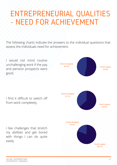The following charts indicate the answers to the individual questions that assess the individuals need for achievement.

I would not mind routine unchallenging work if the pay and pension prospects were good.

I find it difficult to switch off

I like challenges that stretch my abilities and get bored with things I can do quite easily.

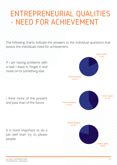The following charts indicate the answers to the individual questions that assess the individuals need for achievement.

If I am having problems with a task I leave it, forget it and move on to something else.



I think more of the present and past than of the future. Tend to disagree

57.9% Tend to agree 42.1% Tend to agree 78.6% Tend to disagree 21.4%

It is more important to do a job well than try to please people.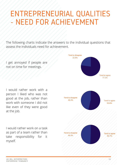The following charts indicate the answers to the individual questions that assess the individuals need for achievement.

I get annoyed if people are not on time for meetings.

I would rather work with a person I liked who was not good at the job, rather than work with someone I did not like even of they were good at the job.

I would rather work on a task as part of a team rather than take responsibility for it myself.

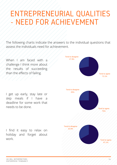The following charts indicate the answers to the individual questions that assess the individuals need for achievement.

When I am faced with a challenge I think more about the results of succeeding than the effects of failing.

I get up early, stay late or skip meals if I have a deadline for some work that

I find it easy to relax on holiday and forget about work.

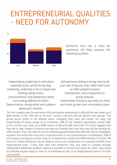#### ENTREPRENEURIAL QUALITIES NEED FOR AUTONOMY



Someone who has a need for autonomy will likely possess the following qualities:

*Independence, preferring to work alone especially if you cannot be top dog. Leadership, preferring to be in charge and disliking taking orders. Unconventional, and prepared to stand out as being different to others. Determination, strong willed and stubborn about your interests.*

*Self-expressive, feeling a strong need to do your own thing your way, rather than work on other people's projects. Individualistic and unresponsive to group pressure. Opinionated, having to say what you think and make up their own mind about issues*.

The 'low' category was the one where 45% participants were placed (n.63) and this was made up of 83% women, (n.52) 16% men (n.16) and 1 person (1%) who did not declare their gender. This group would prefer to be advised about managing their work and would not enjoy the responsibility of taking charge of an enterprise. 29% of the research participants scored 'high' (n.41) and this was made up of 80% women (n.28) and 20% men (n.8). This score suggests that they like to take charge of projects that they are involved with, and they may not like working for other people. They may need to work at developing good relationship skills with clients, employees, suppliers and authorities since this is important even in very small business or enterprises. 26% of the research participants scored 'medium' (n.36and this is made up of 86% women (n.31) and 14% men (n.5). These individuals may be happy to work as an intrapraneur as a valuable member of an organisational team. If they start their own enterprise, they may need to cultivate stronger independent leadership qualities. Starting a business is not the only option for them. They would be probably equally happy to work as an employee as part of an organisational team or on their own projects.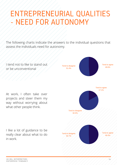#### ENTREPRENEURIAL QUALITIES NEED FOR AUTONOMY

The following charts indicate the answers to the individual questions that assess the individuals need for autonomy.

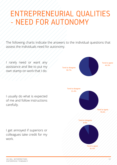#### ENTREPRENEURIAL QUALITIES NEED FOR AUTONOMY

The following charts indicate the answers to the individual questions that assess the individuals need for autonomy.

I rarely need or want any assistance and like to put my own stamp on work that I do.

I usually do what is expected of me and follow instructions carefully.

I get annoyed if superiors or colleagues take credit for my work.

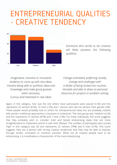

Someone who tends to be creative will likely possess the following qualities:

*Imaginative, inventive or innovative tendency to come up with new ideas. Intuitive being able to synthesis ideas and knowledge and make* good *guesses when necessary. Curious and interested in new ideas.*

*Change-orientated, preferring novelty, change and challenges with a dislike of being locked into routines. Versatile and able to draw on personal resources for projects or problem solving*.

Again, in this category, 'low' was the one where most participants were placed (n.58) and this represents 47 women (81%), 10 men (17%) and 1 person who did not declare their gender (2%). These people would probably look to others for entrepreneurial ideas but are probably content with proven, traditional approaches to business or enterprise. The next group was 'medium' (n.54) and this represents 47 women (87%) and 7 men (13%). For these individuals, this score suggests that they probably wish to consider tried and tested enterprising ideas that are more straightforward to implement and fit in with their lifestyle. The number of participants who scored 'high' in this category was 28 and represents 22 women (79%) and 6 men (21%). This score suggests they are a person with strong creative tendencies that they may be able to express through artistic, innovative or inventive activities. While not all creative people have to be enterprising, it is nonetheless a characteristic of the most enterprising.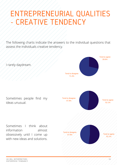The following charts indicate the answers to the individual questions that assess the individuals creative tendency.

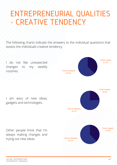The following charts indicate the answers to the individual questions that assess the individuals creative tendency.

I do not like unexpected 37.1% changes to my weekly routines.



I am wary of new ideas, gadgets and technologies.

always making changes and trying out new ideas.



Tend to agree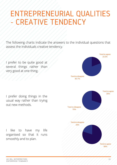The following charts indicate the answers to the individual questions that assess the individuals creative tendency.

I prefer to be quite good at several things rather than very good at one thing.



I like to have my life organised so that it runs smoothly and to plan.

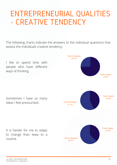The following charts indicate the answers to the individual questions that assess the individuals creative tendency.

I like to spend time with people who have different ways of thinking.



Sometimes I have so many ideas I feel pressurised. Tend to disagree

to change than keep to a routine.

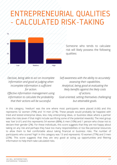

Someone who tends to calculate risk will likely possess the following qualities:

*Decisive, being able to act on incomplete information and good at judging when incomplete information is sufficient for action. Effective information management using information to calculate the probability that their actions will be successful.*

*Self-awareness with the ability to accurately assessing their capabilities. Analytical, being good at evaluating the likely benefits against the likely costs of actions. Goal-oriented, setting themselves challenging but attainable goals.*

In this category, 'medium' was the one where most participants were placed (n.66) and this represents 52 women (79%) and 14 men (21%). These people would probably be happiest with tried and tested enterprise ideas, less risky enterprising ideas, or business ideas where a partner takes the risks (even if that might include sacrificing some of the potential rewards). The next group was 'low' (n.61) and this represents 54 women (88%), 6 men (10%) and 1 person who chose not to declare their gender (2%). For these individuals, this score suggests that they are not happy about taking on any risk and perhaps they have too many responsibilities or too few personal resources to allow them to feel comfortable about taking financial or business risks. The number of participants who scored 'high' in this category was 13 and represents 10 women (77%) and 3 men (23%). This score suggests that they are very good at sizing up opportunities and filtering information to help them take calculated risks.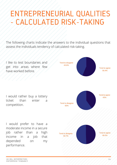The following charts indicate the answers to the individual questions that assess the individuals tendency of calculated risk-taking.

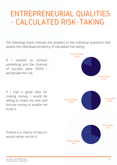The following charts indicate the answers to the individual questions that assess the individuals tendency of calculated risk-taking.

Tend to disagree

If I wanted to achieve something and the chances of success were 50/50 I would take the risk.

If I had a good idea for making money, I would be willing to invest my time and borrow money to enable me to do it.

Tend to agree 81.4% 18.6% Tend to disagree 51.4% Tend to agree 48.6% Tend to disagree 70% Tend to agree 30%

If there is a chance of failure I would rather not do it.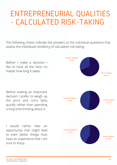The following charts indicate the answers to the individual questions that assess the individuals tendency of calculated risk-taking.

Before I make a decision I like to have all the facts no matter how long it takes.

Before making an important decision I prefer to weigh up the pro's and con's fairly quickly rather than spending a long time thinking about it.

I would rather take an opportunity that might lead to even better things than have an experience that I am sure to enjoy.

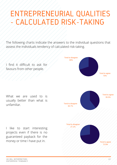The following charts indicate the answers to the individual questions that assess the individuals tendency of calculated risk-taking.

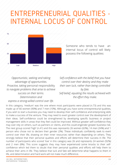

Someone who tends to have an internal locus of control will likely possess the following qualities:

*Opportunistic, seeking and taking advantage of opportunities. Proactive, taking* personal responsibility *to navigate problems that arise to achieve success on their terms. Determination and express a strong-willed control over life*.

*Self-confidence with the belief that you have control over their destiny and they make their own luck, rather than being controlled by fate. Self-belief, equating the results achieved with the effort they make.*

In this category, 'medium' was the one where most participants were placed (n.73) and this was made up of 66 women (90%) and 7 men (10%). Although you have some entrepreneurial qualities, if you wish to start a business you may need to develop their self-confidence and enterprising skills to make a success of the venture. They may need to exert greater control over the development of their ideas. Self-confidence could be strengthened by developing specific business or project management skills in areas that they feel could be improved. Without greater self-confidence they may over-rely on others, such as partners or clients, and this could engender greater business risk. The next group scored 'high' (n.41) and this was represents 26 women (63%), 14 men (34%) and 1 person who chose not to declare their gender (3%). These individuals confidently seek to exert control over their life, drawing on their inner resources rather than depending on others. They strongly believe that their personal qualities and efforts will determine their success in life. The number of participants who scored 'low' in this category was 26 and represents 24 women (92%) and 2 men (8%). This score suggests they may have experienced some knocks to their selfconfidence which led them to doubt that their personal qualities and efforts will help them to achieve their aims in life. They believe that luck and fate will determine what happens to them in life, and determination and hard work will not make much difference.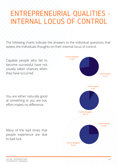The following charts indicate the answers to the individual questions that assess the individuals thoughts on their internal locus of control.

Capable people who fail to become successful have not usually taken chances when they have occurred.

You are either naturally good at something or you are not, effort makes no difference.

Many of the bad times that people experience are due to bad luck.

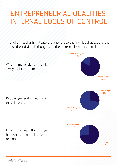The following charts indicate the answers to the individual questions that assess the individuals thoughts on their internal locus of control.

Tend to agree 83.6% Tend to disagree 16.4% When I make plans I nearly always achieve them. People generally get what they deserve. Tend to disagree 72.1% Tend to agree 27.9% Tend to agree 72.9% Tend to disagree 27.1% I try to accept that things happen to me in life for a reason.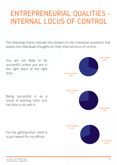The following charts indicate the answers to the individual questions that assess the individuals thoughts on their internal locus of control.

successful unless you are in the right place at the right time.

Being successful is as a result of working hard, luck has little to do with it.

For me, getting what I want is a just reward for my efforts.

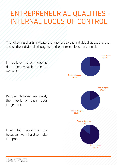The following charts indicate the answers to the individual questions that assess the individuals thoughts on their internal locus of control.

believe that destiny determines what happens to me in life.

People's failures are rarely the result of their poor judgement.

I get what I want from life because I work hard to make it happen.

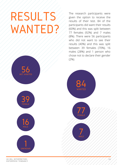# RESULTS WANTED?

56

39

16

MALE

FEMALE

NOT WANTED

The research participants were given the option to receive the results of their test. 84 of the participants did want their results (60%) and this was split between 77 females (92%) and 7 males (8%). There were 56 participants who did not want to see their results (40%) and this was split between 39 females (70%), 16 males (28%) and 1 person who chose not to declare their gender (2%).



ENTERPRISE TENDANCY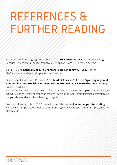# REFERENCES & THER READING

Association of Sign Language Interpreters. 2020. **UK Census Survey** - Association Of Sign Language Interpreters. [online] Available at: <https://asli.org.uk/uk-census-survey>

Caird, S., 2020. **General Measure Of Enterprising Tendency V2 - GET2**. [online] Get2test.net. Available at: <http://www.get2test.net>

Department for Work and Pensions, 2017. **Market Review Of British Sign Language And Communications Provision For People Who Are Deaf Or Have Hearing Loss.** [online] London. Available at:

<https://assets.publishing.service.gov.uk/government/uploads/system/uploads/attachment\_dat a/file/630960/government-response-market-review-of-bsl-and-communications-provision-forpeople-who-are-deaf-or-have-hearing-loss.pdf>

Townsend-Handscomb, D., 2020. Workshops & Talks. [online] **moonpoppy interpreting.** Available at: <https://www.moonpoppyinterpreting.com/workshops--talks.html> [Accessed 16 October 2020].